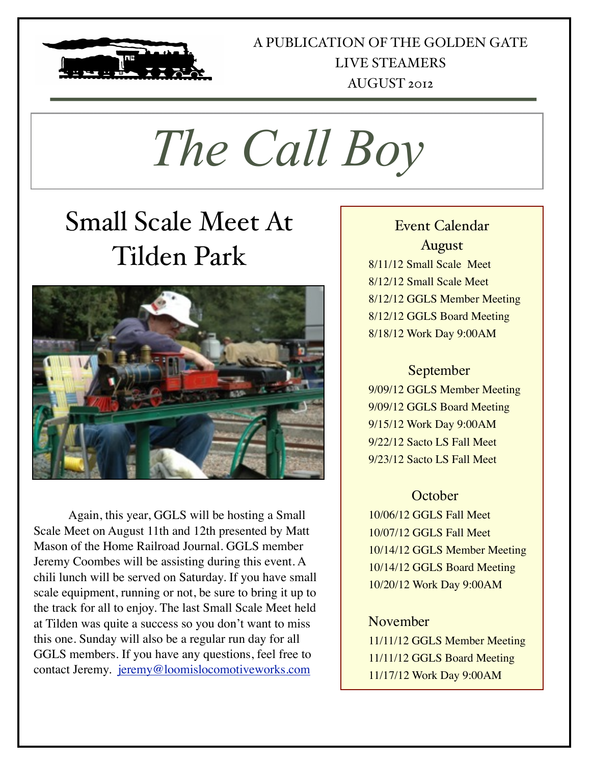

## A PUBLICATION OF THE GOLDEN GATE LIVE STEAMERS AUGUST 2012

*The Call Boy*

# Small Scale Meet At Tilden Park



Again, this year, GGLS will be hosting a Small Scale Meet on August 11th and 12th presented by Matt Mason of the Home Railroad Journal. GGLS member Jeremy Coombes will be assisting during this event. A chili lunch will be served on Saturday. If you have small scale equipment, running or not, be sure to bring it up to the track for all to enjoy. The last Small Scale Meet held at Tilden was quite a success so you don't want to miss this one. Sunday will also be a regular run day for all GGLS members. If you have any questions, feel free to contact Jeremy. jeremy@loomislocomotiveworks.com

## Event Calendar August

8/11/12 Small Scale Meet 8/12/12 Small Scale Meet 8/12/12 GGLS Member Meeting 8/12/12 GGLS Board Meeting 8/18/12 Work Day 9:00AM

## September

9/09/12 GGLS Member Meeting 9/09/12 GGLS Board Meeting 9/15/12 Work Day 9:00AM 9/22/12 Sacto LS Fall Meet 9/23/12 Sacto LS Fall Meet

## **October**

10/06/12 GGLS Fall Meet 10/07/12 GGLS Fall Meet 10/14/12 GGLS Member Meeting 10/14/12 GGLS Board Meeting 10/20/12 Work Day 9:00AM

## November

11/11/12 GGLS Member Meeting 11/11/12 GGLS Board Meeting 11/17/12 Work Day 9:00AM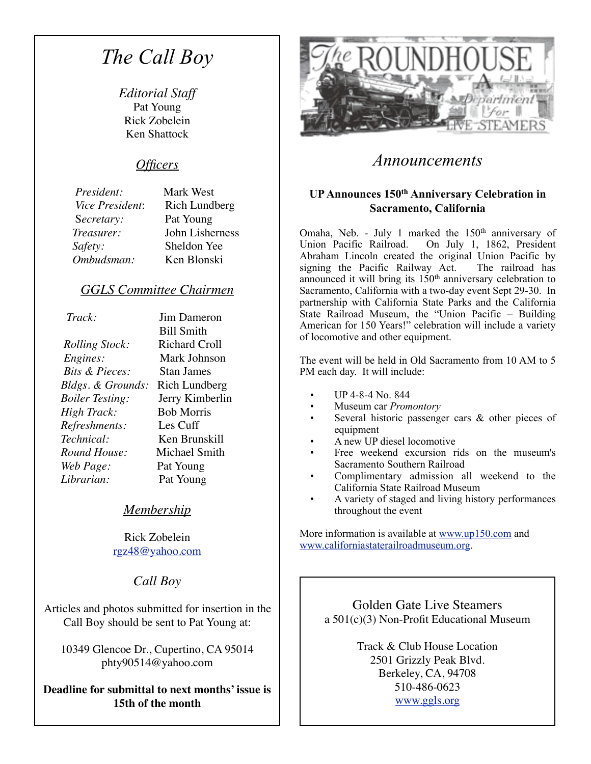## *The Call Boy*

*Editorial Staff* Pat Young Rick Zobelein Ken Shattock

#### *Officers*

 *President:* Mark West *Vice President*: Rich Lundberg S*ecretary:* Pat Young *Treasurer:* John Lisherness *Safety:* Sheldon Yee *Ombudsman:* Ken Blonski

### *GGLS Committee Chairmen*

 *Track:* Jim Dameron *Rolling Stock:* Richard Croll *Engines:* Mark Johnson  *Bits & Pieces:* Stan James *Bldgs. & Grounds:* Rich Lundberg *Boiler Testing:* Jerry Kimberlin *High Track:* Bob Morris *Refreshments:* Les Cuff *Technical:* Ken Brunskill *Round House:* Michael Smith *Web Page:* Pat Young *Librarian:* Pat Young

 Bill Smith

### *Membership*

Rick Zobelein [rgz48@yahoo.com](mailto:rgz48@yahoo.com)

## *Call Boy*

Articles and photos submitted for insertion in the Call Boy should be sent to Pat Young at:

10349 Glencoe Dr., Cupertino, CA 95014 phty90514@yahoo.com

**Deadline for submittal to next months' issue is 15th of the month**



## *Announcements*

#### **UP Announces 150th Anniversary Celebration in Sacramento, California**

Omaha, Neb. - July 1 marked the 150<sup>th</sup> anniversary of Union Pacific Railroad. On July 1, 1862, President On July 1, 1862, President Abraham Lincoln created the original Union Pacific by signing the Pacific Railway Act. The railroad has announced it will bring its 150<sup>th</sup> anniversary celebration to Sacramento, California with a two-day event Sept 29-30. In partnership with California State Parks and the California State Railroad Museum, the "Union Pacific – Building American for 150 Years!" celebration will include a variety of locomotive and other equipment.

The event will be held in Old Sacramento from 10 AM to 5 PM each day. It will include:

- UP 4-8-4 No. 844
- Museum car *Promontory*
- Several historic passenger cars  $\&$  other pieces of equipment
- A new UP diesel locomotive
- Free weekend excursion rids on the museum's Sacramento Southern Railroad
- Complimentary admission all weekend to the California State Railroad Museum
- A variety of staged and living history performances throughout the event

More information is available at [www.up150.com](http://www.up150.com/) and [www.californiastaterailroadmuseum.org](http://www.californiastaterailroadmuseum.org/).

> Golden Gate Live Steamers a 501(c)(3) Non-Profit Educational Museum

> > Track & Club House Location 2501 Grizzly Peak Blvd. Berkeley, CA, 94708 510-486-0623 [www.ggls.org](http://www.ggls.org)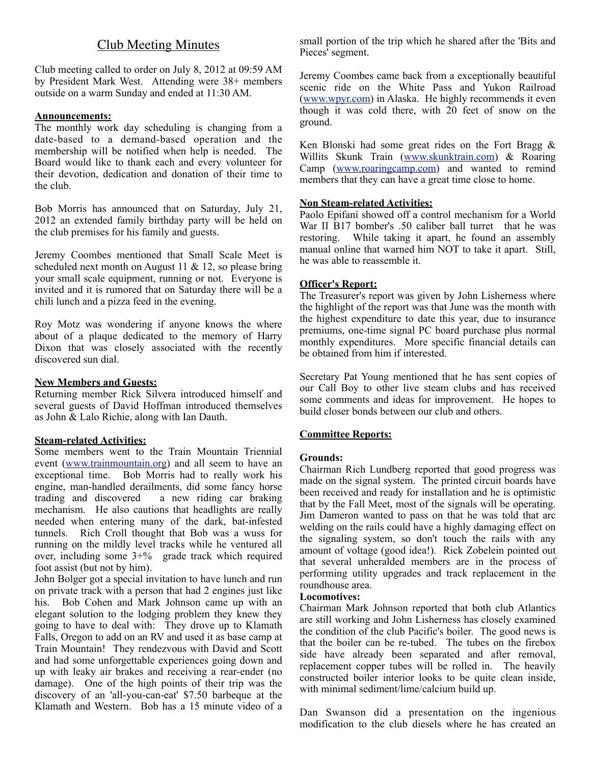## Club Meeting Minutes

Club meeting called to order on July 8, 2012 at 09:59 AM by President Mark West. Attending were 38+ members outside on a warm Sunday and ended at 11:30 AM.

#### **Announcements:**

The monthly work day scheduling is changing from a date-based to a demand-based operation and the membership will be notified when help is needed. The Board would like to thank each and every volunteer for their devotion, dedication and donation of their time to the club.

Bob Morris has announced that on Saturday, July 21, 2012 an extended family birthday party will be held on the club premises for his family and guests.

Jeremy Coombes mentioned that Small Scale Meet is scheduled next month on August 11 & 12, so please bring your small scale equipment, running or not. Everyone is invited and it is rumored that on Saturday there will be a chili lunch and a pizza feed in the evening.

Roy Motz was wondering if anyone knows the where about of a plaque dedicated to the memory of Harry Dixon that was closely associated with the recently discovered sun dial.

#### **New Members and Guests:**

Returning member Rick Silvera introduced himself and several guests of David Hoffman introduced themselves as John & Lalo Richie, along with Ian Dauth.

#### **Steam-related Activities:**

Some members went to the Train Mountain Triennial event ([www.trainmountain.org\)](http://www.trainmountain.org) and all seem to have an exceptional time. Bob Morris had to really work his engine, man-handled derailments, did some fancy horse<br>trading and discovered a new riding car braking a new riding car braking mechanism. He also cautions that headlights are really needed when entering many of the dark, bat-infested tunnels. Rich Croll thought that Bob was a wuss for running on the mildly level tracks while he ventured all over, including some 3+% grade track which required foot assist (but not by him).

John Bolger got a special invitation to have lunch and run on private track with a person that had 2 engines just like his. Bob Cohen and Mark Johnson came up with an elegant solution to the lodging problem they knew they going to have to deal with: They drove up to Klamath Falls, Oregon to add on an RV and used it as base camp at Train Mountain! They rendezvous with David and Scott and had some unforgettable experiences going down and up with leaky air brakes and receiving a rear-ender (no damage). One of the high points of their trip was the discovery of an 'all-you-can-eat' \$7.50 barbeque at the Klamath and Western. Bob has a 15 minute video of a small portion of the trip which he shared after the 'Bits and Pieces<sup>'</sup> segment.

Jeremy Coombes came back from a exceptionally beautiful scenic ride on the White Pass and Yukon Railroad [\(www.wpyr.com\)](http://www.wpyr.com) in Alaska. He highly recommends it even though it was cold there, with 20 feet of snow on the ground.

Ken Blonski had some great rides on the Fort Bragg  $\&$ Willits Skunk Train ([www.skunktrain.com\)](http://www.skunktrain.com) & Roaring Camp ([www.roaringcamp.com\)](http://www.roaringcamp.com) and wanted to remind members that they can have a great time close to home.

#### **Non Steam-related Activities:**

Paolo Epifani showed off a control mechanism for a World War II B17 bomber's .50 caliber ball turret that he was restoring. While taking it apart, he found an assembly manual online that warned him NOT to take it apart. Still, he was able to reassemble it.

#### **Officer's Report:**

The Treasurer's report was given by John Lisherness where the highlight of the report was that June was the month with the highest expenditure to date this year, due to insurance premiums, one-time signal PC board purchase plus normal monthly expenditures. More specific financial details can be obtained from him if interested.

Secretary Pat Young mentioned that he has sent copies of our Call Boy to other live steam clubs and has received some comments and ideas for improvement. He hopes to build closer bonds between our club and others.

#### **Committee Reports:**

#### **Grounds:**

Chairman Rich Lundberg reported that good progress was made on the signal system. The printed circuit boards have been received and ready for installation and he is optimistic that by the Fall Meet, most of the signals will be operating. Jim Dameron wanted to pass on that he was told that arc welding on the rails could have a highly damaging effect on the signaling system, so don't touch the rails with any amount of voltage (good idea!). Rick Zobelein pointed out that several unheralded members are in the process of performing utility upgrades and track replacement in the roundhouse area.

#### **Locomotives:**

Chairman Mark Johnson reported that both club Atlantics are still working and John Lisherness has closely examined the condition of the club Pacific's boiler. The good news is that the boiler can be re-tubed. The tubes on the firebox side have already been separated and after removal, replacement copper tubes will be rolled in. The heavily constructed boiler interior looks to be quite clean inside, with minimal sediment/lime/calcium build up.

Dan Swanson did a presentation on the ingenious modification to the club diesels where he has created an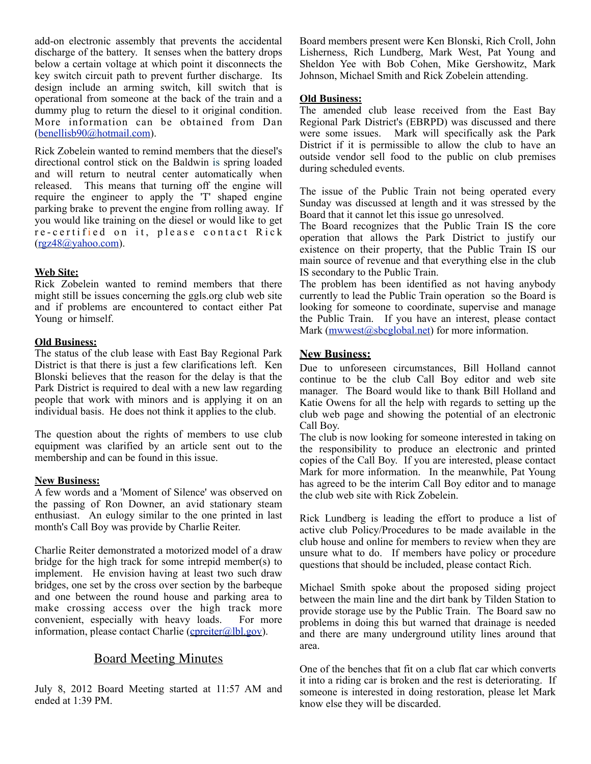add-on electronic assembly that prevents the accidental discharge of the battery. It senses when the battery drops below a certain voltage at which point it disconnects the key switch circuit path to prevent further discharge. Its design include an arming switch, kill switch that is operational from someone at the back of the train and a dummy plug to return the diesel to it original condition. More information can be obtained from Dan ([benellisb90@hotmail.com\)](mailto:benellisb90@hotmail.com).

Rick Zobelein wanted to remind members that the diesel's directional control stick on the Baldwin is spring loaded and will return to neutral center automatically when released. This means that turning off the engine will require the engineer to apply the 'T' shaped engine parking brake to prevent the engine from rolling away. If you would like training on the diesel or would like to get re-certified on it, please contact Rick ([rgz48@yahoo.com](mailto:rgz48@yahoo.com)).

#### **Web Site:**

Rick Zobelein wanted to remind members that there might still be issues concerning the ggls.org club web site and if problems are encountered to contact either Pat Young or himself.

#### **Old Business:**

The status of the club lease with East Bay Regional Park District is that there is just a few clarifications left. Ken Blonski believes that the reason for the delay is that the Park District is required to deal with a new law regarding people that work with minors and is applying it on an individual basis. He does not think it applies to the club.

The question about the rights of members to use club equipment was clarified by an article sent out to the membership and can be found in this issue.

#### **New Business:**

A few words and a 'Moment of Silence' was observed on the passing of Ron Downer, an avid stationary steam enthusiast. An eulogy similar to the one printed in last month's Call Boy was provide by Charlie Reiter.

Charlie Reiter demonstrated a motorized model of a draw bridge for the high track for some intrepid member(s) to implement. He envision having at least two such draw bridges, one set by the cross over section by the barbeque and one between the round house and parking area to make crossing access over the high track more convenient, especially with heavy loads. For more information, please contact Charlie ( $c$ preiter $(a)$ lbl.gov).

#### Board Meeting Minutes

July 8, 2012 Board Meeting started at 11:57 AM and ended at 1:39 PM.

Board members present were Ken Blonski, Rich Croll, John Lisherness, Rich Lundberg, Mark West, Pat Young and Sheldon Yee with Bob Cohen, Mike Gershowitz, Mark Johnson, Michael Smith and Rick Zobelein attending.

#### **Old Business:**

The amended club lease received from the East Bay Regional Park District's (EBRPD) was discussed and there were some issues. Mark will specifically ask the Park District if it is permissible to allow the club to have an outside vendor sell food to the public on club premises during scheduled events.

The issue of the Public Train not being operated every Sunday was discussed at length and it was stressed by the Board that it cannot let this issue go unresolved.

The Board recognizes that the Public Train IS the core operation that allows the Park District to justify our existence on their property, that the Public Train IS our main source of revenue and that everything else in the club IS secondary to the Public Train.

The problem has been identified as not having anybody currently to lead the Public Train operation so the Board is looking for someone to coordinate, supervise and manage the Public Train. If you have an interest, please contact Mark ([mwwest@sbcglobal.net\)](mailto:mwwest@sbcglobal.net) for more information.

#### **New Business:**

Due to unforeseen circumstances, Bill Holland cannot continue to be the club Call Boy editor and web site manager. The Board would like to thank Bill Holland and Katie Owens for all the help with regards to setting up the club web page and showing the potential of an electronic Call Boy.

The club is now looking for someone interested in taking on the responsibility to produce an electronic and printed copies of the Call Boy. If you are interested, please contact Mark for more information. In the meanwhile, Pat Young has agreed to be the interim Call Boy editor and to manage the club web site with Rick Zobelein.

Rick Lundberg is leading the effort to produce a list of active club Policy/Procedures to be made available in the club house and online for members to review when they are unsure what to do. If members have policy or procedure questions that should be included, please contact Rich.

Michael Smith spoke about the proposed siding project between the main line and the dirt bank by Tilden Station to provide storage use by the Public Train. The Board saw no problems in doing this but warned that drainage is needed and there are many underground utility lines around that area.

One of the benches that fit on a club flat car which converts it into a riding car is broken and the rest is deteriorating. If someone is interested in doing restoration, please let Mark know else they will be discarded.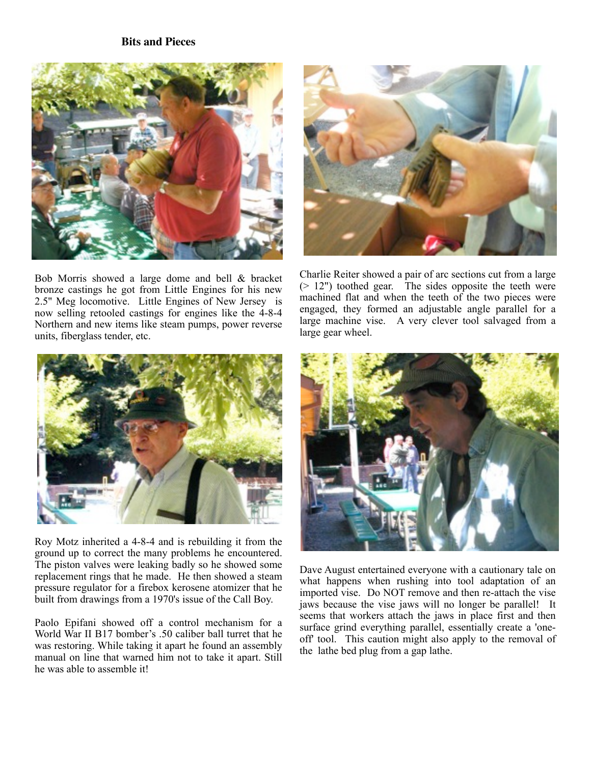#### **Bits and Pieces**



Bob Morris showed a large dome and bell & bracket bronze castings he got from Little Engines for his new 2.5" Meg locomotive. Little Engines of New Jersey is now selling retooled castings for engines like the 4-8-4 Northern and new items like steam pumps, power reverse units, fiberglass tender, etc.



Charlie Reiter showed a pair of arc sections cut from a large (> 12") toothed gear. The sides opposite the teeth were machined flat and when the teeth of the two pieces were engaged, they formed an adjustable angle parallel for a large machine vise. A very clever tool salvaged from a large gear wheel.



Roy Motz inherited a 4-8-4 and is rebuilding it from the ground up to correct the many problems he encountered. The piston valves were leaking badly so he showed some replacement rings that he made. He then showed a steam pressure regulator for a firebox kerosene atomizer that he built from drawings from a 1970's issue of the Call Boy.

Paolo Epifani showed off a control mechanism for a World War II B17 bomber's .50 caliber ball turret that he was restoring. While taking it apart he found an assembly manual on line that warned him not to take it apart. Still he was able to assemble it!



Dave August entertained everyone with a cautionary tale on what happens when rushing into tool adaptation of an imported vise. Do NOT remove and then re-attach the vise jaws because the vise jaws will no longer be parallel! It seems that workers attach the jaws in place first and then surface grind everything parallel, essentially create a 'oneoff' tool. This caution might also apply to the removal of the lathe bed plug from a gap lathe.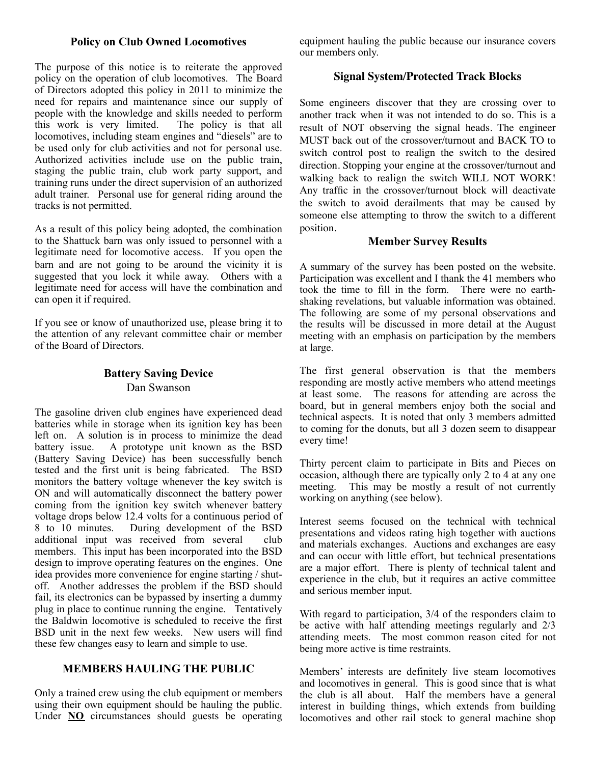#### **Policy on Club Owned Locomotives**

The purpose of this notice is to reiterate the approved policy on the operation of club locomotives. The Board of Directors adopted this policy in 2011 to minimize the need for repairs and maintenance since our supply of people with the knowledge and skills needed to perform<br>this work is very limited. The policy is that all this work is very limited. locomotives, including steam engines and "diesels" are to be used only for club activities and not for personal use. Authorized activities include use on the public train, staging the public train, club work party support, and training runs under the direct supervision of an authorized adult trainer. Personal use for general riding around the tracks is not permitted.

As a result of this policy being adopted, the combination to the Shattuck barn was only issued to personnel with a legitimate need for locomotive access. If you open the barn and are not going to be around the vicinity it is suggested that you lock it while away. Others with a legitimate need for access will have the combination and can open it if required.

If you see or know of unauthorized use, please bring it to the attention of any relevant committee chair or member of the Board of Directors.

#### **Battery Saving Device** Dan Swanson

The gasoline driven club engines have experienced dead batteries while in storage when its ignition key has been left on. A solution is in process to minimize the dead battery issue. A prototype unit known as the BSD (Battery Saving Device) has been successfully bench tested and the first unit is being fabricated. The BSD monitors the battery voltage whenever the key switch is ON and will automatically disconnect the battery power coming from the ignition key switch whenever battery voltage drops below 12.4 volts for a continuous period of 8 to 10 minutes. During development of the BSD additional input was received from several club members. This input has been incorporated into the BSD design to improve operating features on the engines. One idea provides more convenience for engine starting / shutoff. Another addresses the problem if the BSD should fail, its electronics can be bypassed by inserting a dummy plug in place to continue running the engine. Tentatively the Baldwin locomotive is scheduled to receive the first BSD unit in the next few weeks. New users will find these few changes easy to learn and simple to use.

#### **MEMBERS HAULING THE PUBLIC**

Only a trained crew using the club equipment or members using their own equipment should be hauling the public. Under **NO** circumstances should guests be operating equipment hauling the public because our insurance covers our members only.

#### **Signal System/Protected Track Blocks**

Some engineers discover that they are crossing over to another track when it was not intended to do so. This is a result of NOT observing the signal heads. The engineer MUST back out of the crossover/turnout and BACK TO to switch control post to realign the switch to the desired direction. Stopping your engine at the crossover/turnout and walking back to realign the switch WILL NOT WORK! Any traffic in the crossover/turnout block will deactivate the switch to avoid derailments that may be caused by someone else attempting to throw the switch to a different position.

#### **Member Survey Results**

A summary of the survey has been posted on the website. Participation was excellent and I thank the 41 members who took the time to fill in the form. There were no earthshaking revelations, but valuable information was obtained. The following are some of my personal observations and the results will be discussed in more detail at the August meeting with an emphasis on participation by the members at large.

The first general observation is that the members responding are mostly active members who attend meetings at least some. The reasons for attending are across the board, but in general members enjoy both the social and technical aspects. It is noted that only 3 members admitted to coming for the donuts, but all 3 dozen seem to disappear every time!

Thirty percent claim to participate in Bits and Pieces on occasion, although there are typically only 2 to 4 at any one meeting. This may be mostly a result of not currently working on anything (see below).

Interest seems focused on the technical with technical presentations and videos rating high together with auctions and materials exchanges. Auctions and exchanges are easy and can occur with little effort, but technical presentations are a major effort. There is plenty of technical talent and experience in the club, but it requires an active committee and serious member input.

With regard to participation, 3/4 of the responders claim to be active with half attending meetings regularly and 2/3 attending meets. The most common reason cited for not being more active is time restraints.

Members' interests are definitely live steam locomotives and locomotives in general. This is good since that is what the club is all about. Half the members have a general interest in building things, which extends from building locomotives and other rail stock to general machine shop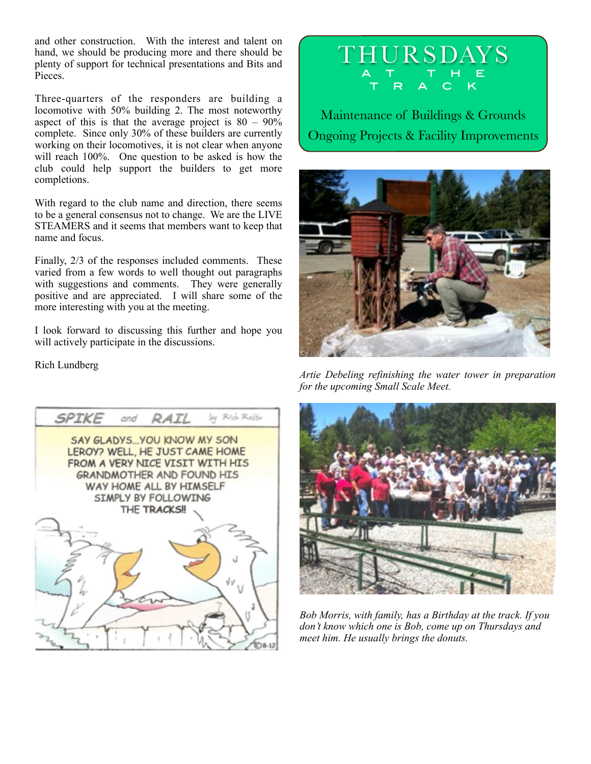and other construction. With the interest and talent on hand, we should be producing more and there should be plenty of support for technical presentations and Bits and Pieces.

Three-quarters of the responders are building a locomotive with 50% building 2. The most noteworthy aspect of this is that the average project is  $80 - 90\%$ complete. Since only 30% of these builders are currently working on their locomotives, it is not clear when anyone will reach 100%. One question to be asked is how the club could help support the builders to get more completions.

With regard to the club name and direction, there seems to be a general consensus not to change. We are the LIVE STEAMERS and it seems that members want to keep that name and focus.

Finally, 2/3 of the responses included comments. These varied from a few words to well thought out paragraphs with suggestions and comments. They were generally positive and are appreciated. I will share some of the more interesting with you at the meeting.

I look forward to discussing this further and hope you will actively participate in the discussions.

Rich Lundberg

by Rich Ratty SPIKE and **RAIL** SAY GLADYS ... YOU KNOW MY SON LEROY? WELL, HE JUST CAME HOME FROM A VERY NICE VISIT WITH HIS **GRANDMOTHER AND FOUND HIS** WAY HOME ALL BY HIMSELF SIMPLY BY FOLLOWING THE TRACKS! ψv



Maintenance of Buildings & Grounds Ongoing Projects & Facility Improvements



*Artie Debeling refinishing the water tower in preparation for the upcoming Small Scale Meet.*



*Bob Morris, with family, has a Birthday at the track. If you don't know which one is Bob, come up on Thursdays and meet him. He usually brings the donuts.*